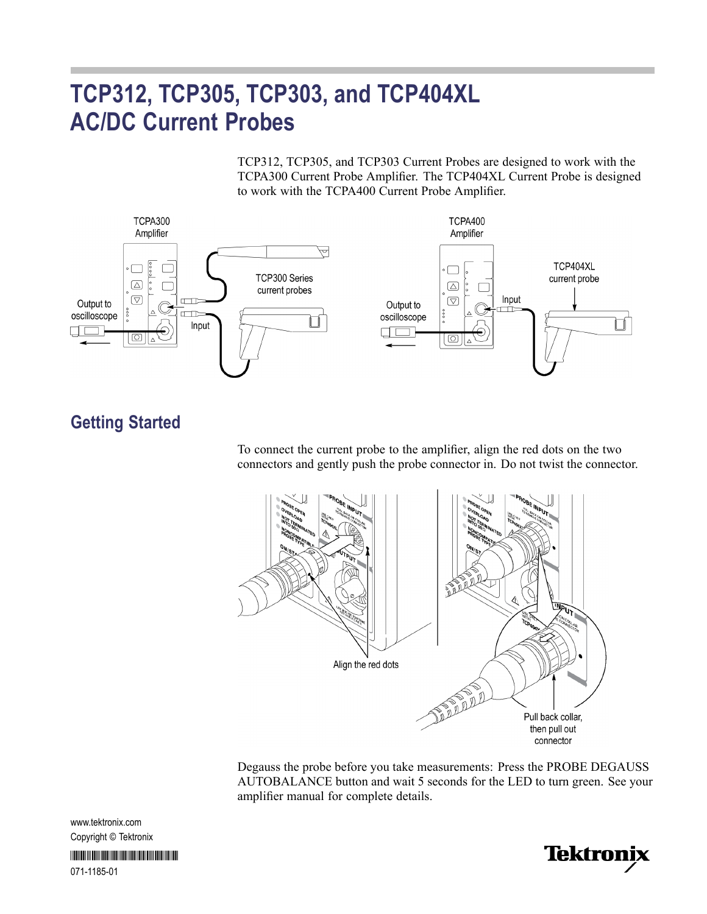# **TCP312, TCP305, TCP303, and TCP404XL AC/DC Current Probes**

TCP312, TCP305, and TCP303 Current Probes are designed to work with the TCPA300 Current Probe Amplifier. The TCP404XL Current Probe is designed to work with the TCPA400 Current Probe Amplifier.



## **Getting Started**

To connect the current probe to the amplifier, align the red dots on the two connectors and gently push the probe connector in. Do not twist the connector.



Degauss the probe before you take measurements: Press the PROBE DEGAUSS AUTOBALANCE button and wait 5 seconds for the LED to turn green. See your amplifier manual for complete details.

www.tektronix.com Copyright © Tektronix

\*P071118501\* 071-1185-01

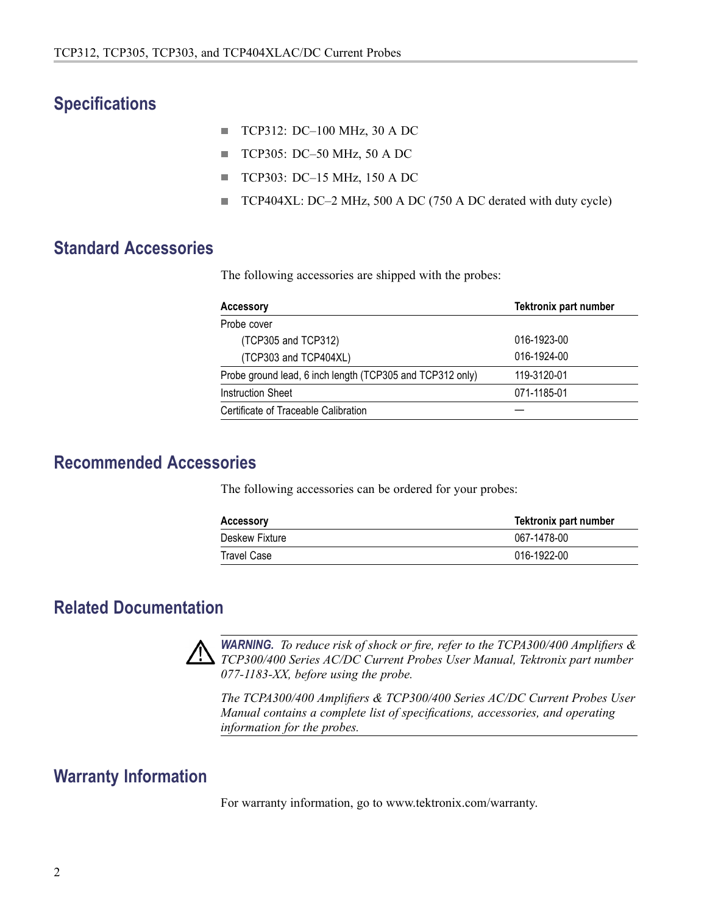## **Specifications**

- п TCP312: DC–100 MHz, 30 A DC
- TCP305: DC–50 MHz, 50 A DC  $\mathbb{R}^n$
- $\mathcal{L}_{\mathcal{A}}$ TCP303: DC–15 MHz, 150 A DC
- $\mathbf{r}$ TCP404XL: DC–2 MHz, 500 A DC (750 A DC derated with duty cycle)

## **Standard Accessories**

The following accessories are shipped with the probes:

| <b>Accessory</b>                                          | <b>Tektronix part number</b> |
|-----------------------------------------------------------|------------------------------|
| Probe cover                                               |                              |
| (TCP305 and TCP312)                                       | 016-1923-00                  |
| (TCP303 and TCP404XL)                                     | 016-1924-00                  |
| Probe ground lead, 6 inch length (TCP305 and TCP312 only) | 119-3120-01                  |
| Instruction Sheet                                         | 071-1185-01                  |
| Certificate of Traceable Calibration                      |                              |

#### **Recommended Accessories**

The following accessories can be ordered for your probes:

| <b>Accessory</b> | Tektronix part number |
|------------------|-----------------------|
| Deskew Fixture   | 067-1478-00           |
| Travel Case      | 016-1922-00           |

## **Related Documentation**



*WARNING. To reduce risk of shock or fire, refer to the TCPA300/400 Amplifiers & TCP300/400 Series AC/DC Current Probes User Manual, Tektronix part number 077-1183-XX, before using the probe.*

*The TCPA300/400 Amplifiers & TCP300/400 Series AC/DC Current Probes User Manual contains a complete list of specifications, accessories, and operating information for the probes.*

## **Warranty Information**

For warranty information, go to www.tektronix.com/warranty.